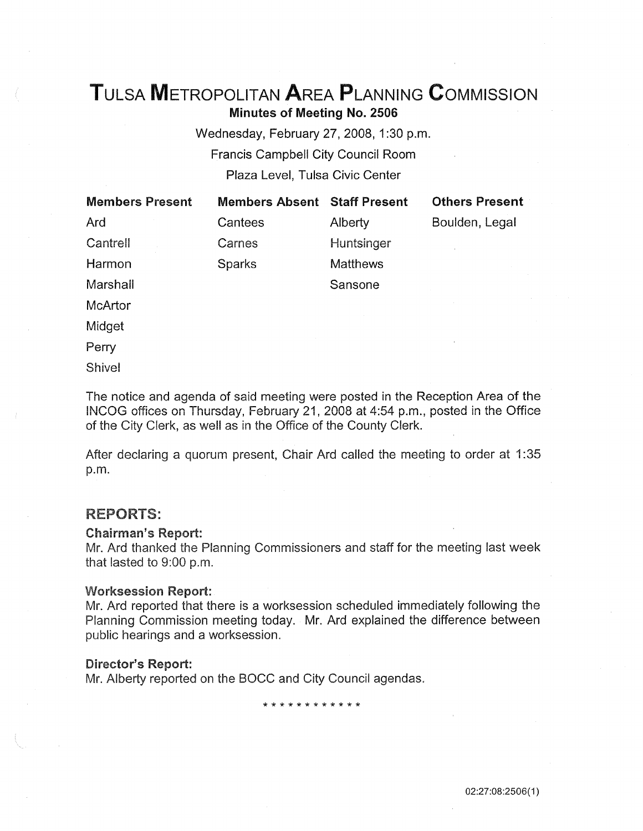# TuLSA METROPOLITAN AREA PLANNING CoMMISSION

Minutes of Meeting No. 2506

Wednesday, February 27, 2008, 1:30 p.m. Francis Campbell City Council Room Plaza Level, Tulsa Civic Center

| <b>Members Present</b> | <b>Members Absent Staff Present</b> |                 | <b>Others Present</b> |
|------------------------|-------------------------------------|-----------------|-----------------------|
| Ard                    | Cantees                             | Alberty         | Boulden, Legal        |
| Cantrell               | Carnes                              | Huntsinger      |                       |
| Harmon                 | Sparks                              | <b>Matthews</b> |                       |
| Marshall               |                                     | Sansone         |                       |
| <b>McArtor</b>         |                                     |                 |                       |

Midget

Perry

**Shivel** 

The notice and agenda of said meeting were posted in the Reception Area of the INCOG offices on Thursday, February 21, 2008 at 4:54 p.m., posted in the Office of the City Clerk, as well as in the Office of the County Clerk.

After declaring a quorum present, Chair Ard called the meeting to order at 1 :35 p.m.

# **REPORTS:**

### Chairman's Report:

Mr. Ard thanked the Planning Commissioners and staff for the meeting last week that lasted to 9:00 p.m.

#### Worksession Report:

Mr. Ard reported that there is a worksession scheduled immediately following the Planning Commission meeting today. Mr. Ard explained the difference between public hearings and a worksession.

### Director's Report:

Mr. Alberty reported on the BOCC and City Council agendas.

\* \* \* \* \* \* \* \* \* \* \* \*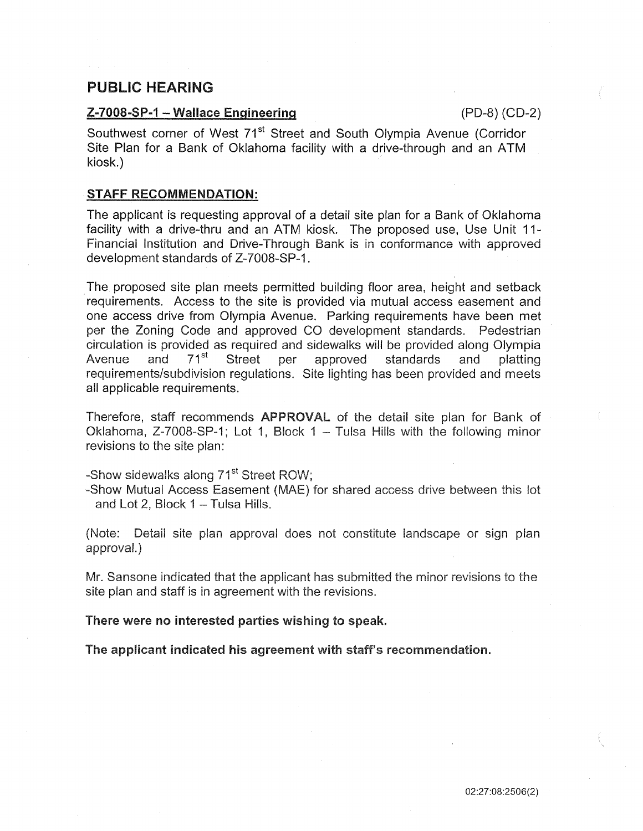# PUBLIC HEARING

## $Z-7008-SP-1$  – Wallace Engineering (PD-8) (CD-2)

Southwest corner of West 71<sup>st</sup> Street and South Olympia Avenue (Corridor Site Plan for a Bank of Oklahoma facility with a drive-through and an ATM kiosk.)

## STAFF RECOMMENDATION:

The applicant is requesting approval of a detail site plan for a Bank of Oklahoma facility with a drive-thru and an ATM kiosk. The proposed use, Use Unit 11- Financial Institution and Drive-Through Bank is in conformance with approved development standards of Z-7008-SP-1.

The proposed site plan meets permitted building floor area, height and setback requirements. Access to the site is provided via mutual access easement and one access drive from Olympia Avenue. Parking requirements have been met per the Zoning Code and approved CO development standards. Pedestrian circulation is provided as required and sidewalks will be provided along Olympia Avenue and 71<sup>st</sup> Street per approved standards and platting requirements/subdivision regulations. Site lighting has been provided and meets all applicable requirements.

Therefore, staff recommends **APPROVAL** of the detail site plan for Bank of Oklahoma, Z-7008-SP-1; Lot 1, Block 1 - Tulsa Hills with the following minor revisions to the site plan:

-Show sidewalks along 71<sup>st</sup> Street ROW:

-Show Mutua! Access Easement (MAE) for shared access drive between this lot and Lot 2, Block  $1 -$  Tulsa Hills.

(Note: Detail site plan approval does not constitute iandscape or sign plan approval.)

Mr. Sansone indicated that the applicant has submitted the minor revisions to the site plan and staff is in agreement with the revisions.

There were no interested parties wishing to speak.

The applicant indicated his agreement with staff's recommendation.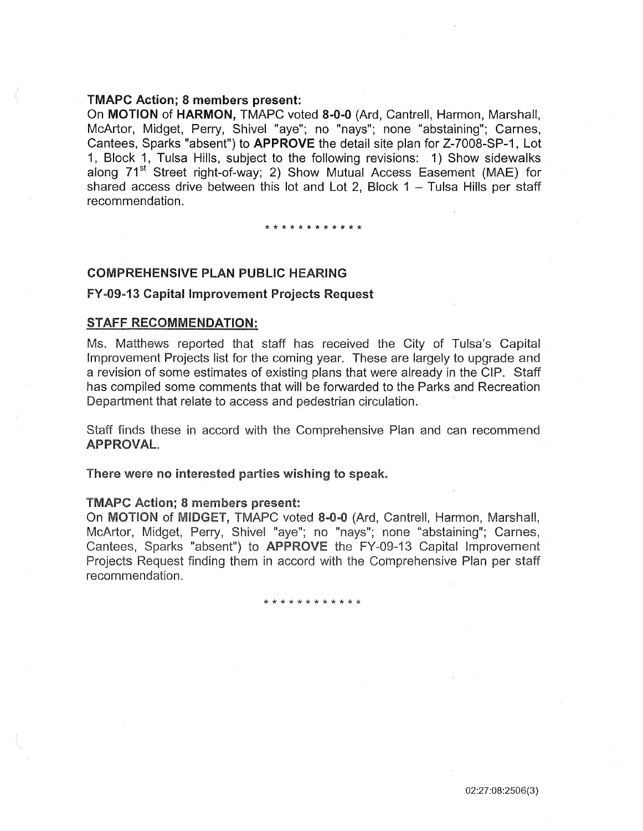# TMAPC Action; 8 members present:

On MOTION of HARMON, TMAPC voted 8-0-0 (Ard, Cantrell, Harmon, Marshall, McArtor, Midget, Perry, Shivel "aye"; no "nays"; none "abstaining"; Carnes, Cantees, Sparks "absent") to APPROVE the detail site plan for Z-7008-SP-1, Lot 1, Block 1, Tulsa Hills, subject to the following revisions: 1) Show sidewalks along 71<sup>st</sup> Street right-of-way; 2) Show Mutual Access Easement (MAE) for shared access drive between this lot and Lot 2, Block  $1 -$  Tulsa Hills per staff recommendation.

\* \* \* \* \* \* \* \* \* \* \* \*

# COMPREHENSIVE PLAN PUBLIC HEARING

## FY ~09~13 Capital Improvement Projects Request

#### STAFF RECOMMENDATION:

Ms. Matthews reported that staff has received the City of Tulsa's Capital Improvement Projects list for the coming year. These are largely to upgrade and a revision of some estimates of existing plans that were already in the CIP. Staff has compiled some comments that will be forwarded to the Parks and Recreation Department that relate to access and pedestrian circulation.

Staff finds these in accord with the Comprehensive Plan and can recommend APPROVAL.

There were no interested parties wishing to speak.

### TMAPC Action; 8 members present:

On MOTION of MIDGET, TMAPC voted 8-0-0 (Ard, Cantrell, Harmon, Marshall, McArtor, Midget, Perry, Shivel "aye"; no "nays"; none "abstaining"; Carnes, Cantees, Sparks "absent") to **APPROVE** the FY-09-13 Capital Improvement Projects Request finding them in accord with the Comprehensive Plan per staff recommendation.

\* \* \* \* \* \* \* \* \* \* \* \*